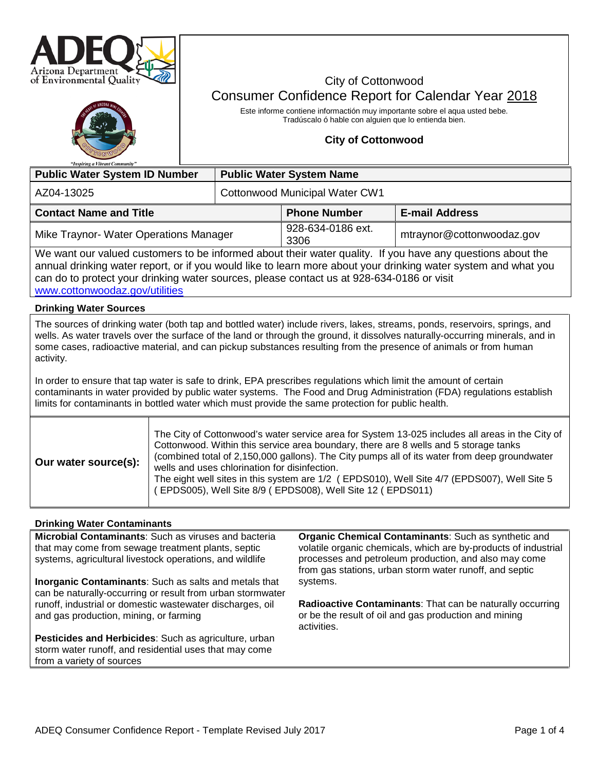

# City of Cottonwood Consumer Confidence Report for Calendar Year 2018

Este informe contiene informactión muy importante sobre el aqua usted bebe. Tradúscalo ó hable con alguien que lo entienda bien.

### **City of Cottonwood**

| "Inspiring a Vibrant Community"                                                                                                                                                                                                                                                                                                                             |                                 |                           |                           |  |  |
|-------------------------------------------------------------------------------------------------------------------------------------------------------------------------------------------------------------------------------------------------------------------------------------------------------------------------------------------------------------|---------------------------------|---------------------------|---------------------------|--|--|
| <b>Public Water System ID Number</b>                                                                                                                                                                                                                                                                                                                        | <b>Public Water System Name</b> |                           |                           |  |  |
| AZ04-13025                                                                                                                                                                                                                                                                                                                                                  | Cottonwood Municipal Water CW1  |                           |                           |  |  |
| <b>Contact Name and Title</b>                                                                                                                                                                                                                                                                                                                               |                                 | <b>Phone Number</b>       | <b>E-mail Address</b>     |  |  |
| Mike Traynor- Water Operations Manager                                                                                                                                                                                                                                                                                                                      |                                 | 928-634-0186 ext.<br>3306 | mtraynor@cottonwoodaz.gov |  |  |
| We want our valued customers to be informed about their water quality. If you have any questions about the<br>annual drinking water report, or if you would like to learn more about your drinking water system and what you<br>can do to protect your drinking water sources, please contact us at 928-634-0186 or visit<br>www.cottonwoodaz.gov/utilities |                                 |                           |                           |  |  |
| <b>Drinking Water Sources</b>                                                                                                                                                                                                                                                                                                                               |                                 |                           |                           |  |  |
| The sources of drinking water (both tap and bottled water) include rivers, lakes, streams, ponds, reservoirs, springs, and<br>wells. As water travels over the surface of the land or through the ground, it dissolves naturally-occurring minerals, and in                                                                                                 |                                 |                           |                           |  |  |

wells. As water travels over the surface of the land or through the ground, it dissolves naturally-occurring minerals, and in some cases, radioactive material, and can pickup substances resulting from the presence of animals or from human activity.

In order to ensure that tap water is safe to drink, EPA prescribes regulations which limit the amount of certain contaminants in water provided by public water systems. The Food and Drug Administration (FDA) regulations establish limits for contaminants in bottled water which must provide the same protection for public health.

| Our water source(s): | The City of Cottonwood's water service area for System 13-025 includes all areas in the City of<br>Cottonwood. Within this service area boundary, there are 8 wells and 5 storage tanks<br>(combined total of 2,150,000 gallons). The City pumps all of its water from deep groundwater<br>wells and uses chlorination for disinfection.<br>The eight well sites in this system are 1/2 (EPDS010), Well Site 4/7 (EPDS007), Well Site 5<br>EPDS005), Well Site 8/9 (EPDS008), Well Site 12 (EPDS011) |
|----------------------|------------------------------------------------------------------------------------------------------------------------------------------------------------------------------------------------------------------------------------------------------------------------------------------------------------------------------------------------------------------------------------------------------------------------------------------------------------------------------------------------------|
|----------------------|------------------------------------------------------------------------------------------------------------------------------------------------------------------------------------------------------------------------------------------------------------------------------------------------------------------------------------------------------------------------------------------------------------------------------------------------------------------------------------------------------|

#### **Drinking Water Contaminants**

**Microbial Contaminants**: Such as viruses and bacteria that may come from sewage treatment plants, septic systems, agricultural livestock operations, and wildlife

**Inorganic Contaminants**: Such as salts and metals that can be naturally-occurring or result from urban stormwater runoff, industrial or domestic wastewater discharges, oil and gas production, mining, or farming

**Pesticides and Herbicides**: Such as agriculture, urban storm water runoff, and residential uses that may come from a variety of sources

**Organic Chemical Contaminants**: Such as synthetic and volatile organic chemicals, which are by-products of industrial processes and petroleum production, and also may come from gas stations, urban storm water runoff, and septic systems.

**Radioactive Contaminants**: That can be naturally occurring or be the result of oil and gas production and mining activities.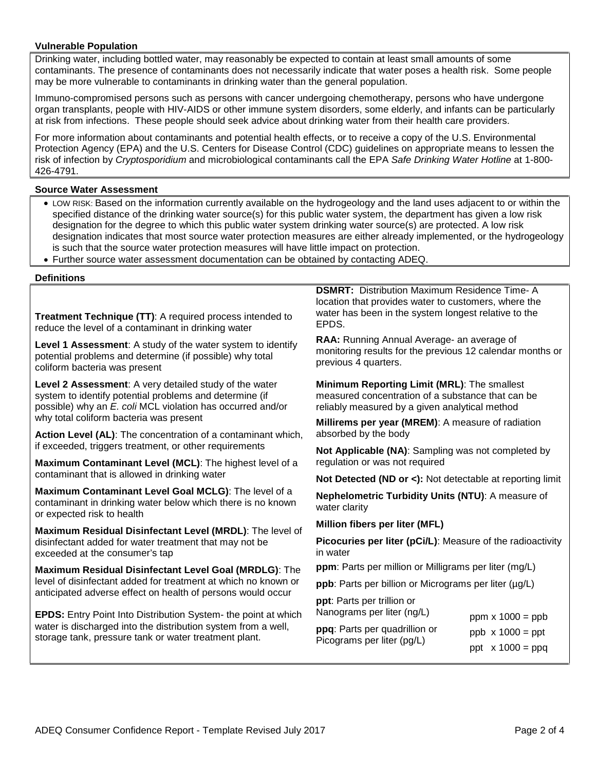#### **Vulnerable Population**

Drinking water, including bottled water, may reasonably be expected to contain at least small amounts of some contaminants. The presence of contaminants does not necessarily indicate that water poses a health risk. Some people may be more vulnerable to contaminants in drinking water than the general population.

Immuno-compromised persons such as persons with cancer undergoing chemotherapy, persons who have undergone organ transplants, people with HIV-AIDS or other immune system disorders, some elderly, and infants can be particularly at risk from infections. These people should seek advice about drinking water from their health care providers.

For more information about contaminants and potential health effects, or to receive a copy of the U.S. Environmental Protection Agency (EPA) and the U.S. Centers for Disease Control (CDC) guidelines on appropriate means to lessen the risk of infection by *Cryptosporidium* and microbiological contaminants call the EPA *Safe Drinking Water Hotline* at 1-800- 426-4791.

#### **Source Water Assessment**

- LOW RISK: Based on the information currently available on the hydrogeology and the land uses adjacent to or within the specified distance of the drinking water source(s) for this public water system, the department has given a low risk designation for the degree to which this public water system drinking water source(s) are protected. A low risk designation indicates that most source water protection measures are either already implemented, or the hydrogeology is such that the source water protection measures will have little impact on protection.
- Further source water assessment documentation can be obtained by contacting ADEQ.

#### **Definitions**

**Treatment Technique (TT)**: A required process intended to reduce the level of a contaminant in drinking water

**Level 1 Assessment**: A study of the water system to identify potential problems and determine (if possible) why total coliform bacteria was present

**Level 2 Assessment**: A very detailed study of the water system to identify potential problems and determine (if possible) why an *E. coli* MCL violation has occurred and/or why total coliform bacteria was present

**Action Level (AL)**: The concentration of a contaminant which, if exceeded, triggers treatment, or other requirements

**Maximum Contaminant Level (MCL)**: The highest level of a contaminant that is allowed in drinking water

**Maximum Contaminant Level Goal MCLG)**: The level of a contaminant in drinking water below which there is no known or expected risk to health

**Maximum Residual Disinfectant Level (MRDL)**: The level of disinfectant added for water treatment that may not be exceeded at the consumer's tap

**Maximum Residual Disinfectant Level Goal (MRDLG)**: The level of disinfectant added for treatment at which no known or anticipated adverse effect on health of persons would occur

**EPDS:** Entry Point Into Distribution System- the point at which water is discharged into the distribution system from a well, storage tank, pressure tank or water treatment plant.

**DSMRT:** Distribution Maximum Residence Time- A location that provides water to customers, where the water has been in the system longest relative to the EPDS.

**RAA:** Running Annual Average- an average of monitoring results for the previous 12 calendar months or previous 4 quarters.

**Minimum Reporting Limit (MRL)**: The smallest measured concentration of a substance that can be reliably measured by a given analytical method

**Millirems per year (MREM)**: A measure of radiation absorbed by the body

**Not Applicable (NA)**: Sampling was not completed by regulation or was not required

**Not Detected (ND or <):** Not detectable at reporting limit

**Nephelometric Turbidity Units (NTU)**: A measure of water clarity

**Million fibers per liter (MFL)**

**Picocuries per liter (pCi/L)**: Measure of the radioactivity in water

**ppm**: Parts per million or Milligrams per liter (mg/L)

**ppb**: Parts per billion or Micrograms per liter ( $\mu$ g/L)

**ppt**: Parts per trillion or Nanograms per liter (ng/L)

**ppq**: Parts per quadrillion or Picograms per liter (pg/L)

ppm  $x 1000 = ppb$ ppb  $x 1000 = ppt$ ppt  $x 1000 = ppq$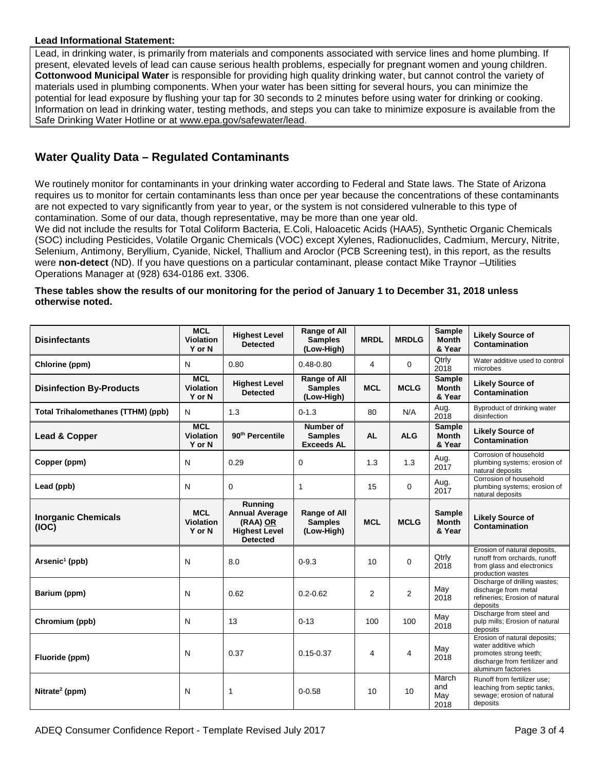#### **Lead Informational Statement:**

Lead, in drinking water, is primarily from materials and components associated with service lines and home plumbing. If present, elevated levels of lead can cause serious health problems, especially for pregnant women and young children. **Cottonwood Municipal Water** is responsible for providing high quality drinking water, but cannot control the variety of materials used in plumbing components. When your water has been sitting for several hours, you can minimize the potential for lead exposure by flushing your tap for 30 seconds to 2 minutes before using water for drinking or cooking. Information on lead in drinking water, testing methods, and steps you can take to minimize exposure is available from the Safe Drinking Water Hotline or at [www.epa.gov/safewater/lead.](http://www.epa.gov/safewater/lead)

## **Water Quality Data – Regulated Contaminants**

We routinely monitor for contaminants in your drinking water according to Federal and State laws. The State of Arizona requires us to monitor for certain contaminants less than once per year because the concentrations of these contaminants are not expected to vary significantly from year to year, or the system is not considered vulnerable to this type of contamination. Some of our data, though representative, may be more than one year old.

We did not include the results for Total Coliform Bacteria, E.Coli, Haloacetic Acids (HAA5), Synthetic Organic Chemicals (SOC) including Pesticides, Volatile Organic Chemicals (VOC) except Xylenes, Radionuclides, Cadmium, Mercury, Nitrite, Selenium, Antimony, Beryllium, Cyanide, Nickel, Thallium and Aroclor (PCB Screening test), in this report, as the results were **non-detect** (ND). If you have questions on a particular contaminant, please contact Mike Traynor –Utilities Operations Manager at (928) 634-0186 ext. 3306.

#### **These tables show the results of our monitoring for the period of January 1 to December 31, 2018 unless otherwise noted.**

| <b>Disinfectants</b>                      | <b>MCL</b><br><b>Violation</b><br>Y or N | <b>Highest Level</b><br><b>Detected</b>                                                 | <b>Range of All</b><br><b>Samples</b><br>(Low-High) | <b>MRDL</b>    | <b>MRDLG</b>   | Sample<br><b>Month</b><br>& Year        | <b>Likely Source of</b><br>Contamination                                                                                              |
|-------------------------------------------|------------------------------------------|-----------------------------------------------------------------------------------------|-----------------------------------------------------|----------------|----------------|-----------------------------------------|---------------------------------------------------------------------------------------------------------------------------------------|
| Chlorine (ppm)                            | N                                        | 0.80                                                                                    | $0.48 - 0.80$                                       | 4              | $\Omega$       | Qtrly<br>2018                           | Water additive used to control<br>microbes                                                                                            |
| <b>Disinfection By-Products</b>           | <b>MCL</b><br><b>Violation</b><br>Y or N | <b>Highest Level</b><br><b>Detected</b>                                                 | Range of All<br><b>Samples</b><br>(Low-High)        | <b>MCL</b>     | <b>MCLG</b>    | Sample<br><b>Month</b><br>& Year        | <b>Likely Source of</b><br>Contamination                                                                                              |
| <b>Total Trihalomethanes (TTHM) (ppb)</b> | N                                        | 1.3                                                                                     | $0 - 1.3$                                           | 80             | N/A            | Aug.<br>2018                            | Byproduct of drinking water<br>disinfection                                                                                           |
| Lead & Copper                             | <b>MCL</b><br><b>Violation</b><br>Y or N | 90 <sup>th</sup> Percentile                                                             | Number of<br><b>Samples</b><br><b>Exceeds AL</b>    | <b>AL</b>      | <b>ALG</b>     | <b>Sample</b><br><b>Month</b><br>& Year | <b>Likely Source of</b><br>Contamination                                                                                              |
| Copper (ppm)                              | N                                        | 0.29                                                                                    | 0                                                   | 1.3            | 1.3            | Aug.<br>2017                            | Corrosion of household<br>plumbing systems; erosion of<br>natural deposits                                                            |
| Lead (ppb)                                | N                                        | 0                                                                                       | 1                                                   | 15             | $\mathbf 0$    | Aug.<br>2017                            | Corrosion of household<br>plumbing systems; erosion of<br>natural deposits                                                            |
| <b>Inorganic Chemicals</b><br>(IOC)       | <b>MCL</b><br><b>Violation</b><br>Y or N | Running<br><b>Annual Average</b><br>(RAA) OR<br><b>Highest Level</b><br><b>Detected</b> | <b>Range of All</b><br><b>Samples</b><br>(Low-High) | <b>MCL</b>     | <b>MCLG</b>    | Sample<br><b>Month</b><br>& Year        | <b>Likely Source of</b><br>Contamination                                                                                              |
| Arsenic <sup>1</sup> (ppb)                | N                                        | 8.0                                                                                     | $0 - 9.3$                                           | 10             | $\Omega$       | Qtrly<br>2018                           | Erosion of natural deposits,<br>runoff from orchards, runoff<br>from glass and electronics<br>production wastes                       |
| Barium (ppm)                              | N                                        | 0.62                                                                                    | $0.2 - 0.62$                                        | $\overline{2}$ | $\overline{2}$ | May<br>2018                             | Discharge of drilling wastes;<br>discharge from metal<br>refineries; Erosion of natural<br>deposits                                   |
| Chromium (ppb)                            | N                                        | 13                                                                                      | $0 - 13$                                            | 100            | 100            | May<br>2018                             | Discharge from steel and<br>pulp mills; Erosion of natural<br>deposits                                                                |
| Fluoride (ppm)                            | N                                        | 0.37                                                                                    | $0.15 - 0.37$                                       | 4              | 4              | May<br>2018                             | Erosion of natural deposits;<br>water additive which<br>promotes strong teeth;<br>discharge from fertilizer and<br>aluminum factories |
| Nitrate <sup>2</sup> (ppm)                | N                                        | 1                                                                                       | $0 - 0.58$                                          | 10             | 10             | March<br>and<br>May<br>2018             | Runoff from fertilizer use;<br>leaching from septic tanks,<br>sewage; erosion of natural<br>deposits                                  |